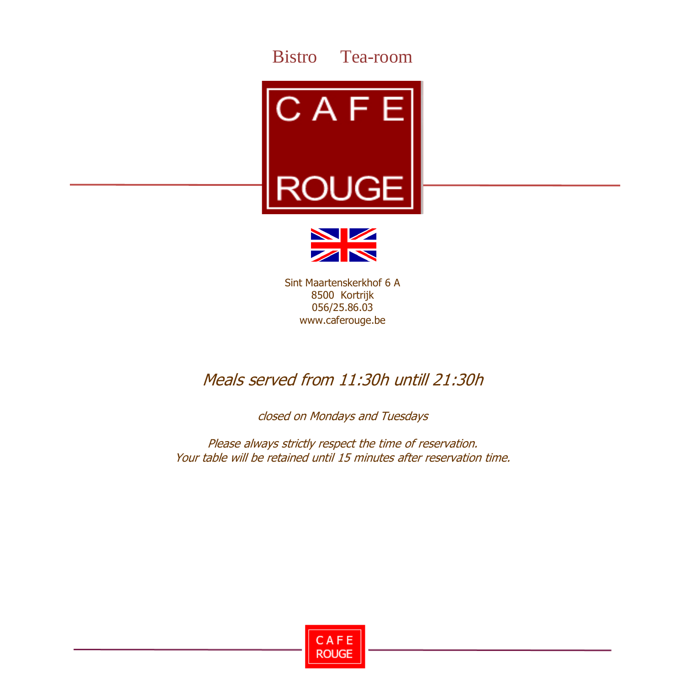



Sint Maartenskerkhof 6 A 8500 Kortrijk 056/25.86.03 www.caferouge.be

### Meals served from 11:30h untill 21:30h

closed on Mondays and Tuesdays

Please always strictly respect the time of reservation. Your table will be retained until 15 minutes after reservation time.

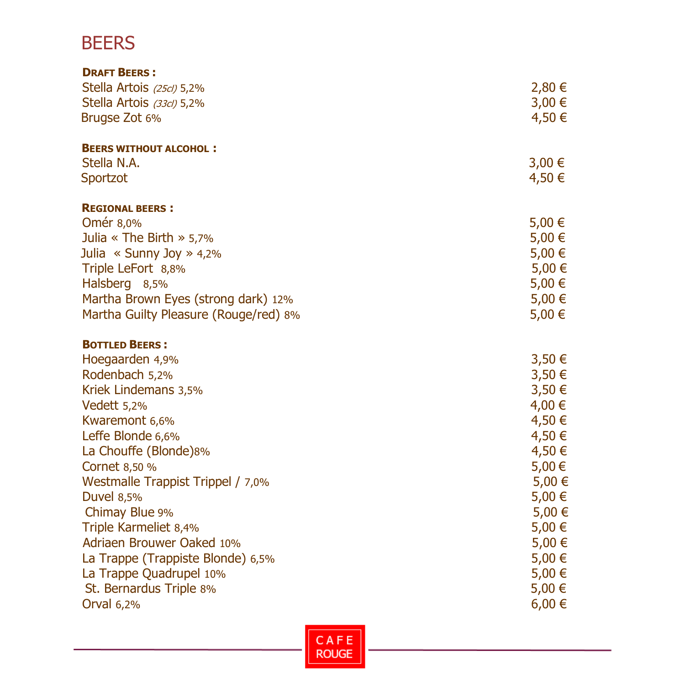# **BEERS**

| <b>DRAFT BEERS:</b>                   |            |
|---------------------------------------|------------|
| Stella Artois (25cl) 5,2%             | 2,80€      |
| Stella Artois (33cl) 5,2%             | 3,00€      |
| Brugse Zot 6%                         | 4,50 €     |
| <b>BEERS WITHOUT ALCOHOL:</b>         |            |
| Stella N.A.                           | $3,00 \in$ |
| Sportzot                              | 4,50 €     |
| <b>REGIONAL BEERS:</b>                |            |
| Omér 8,0%                             | 5,00 €     |
| Julia « The Birth » $5,7\%$           | 5,00 €     |
| Julia « Sunny Joy » $4,2\%$           | 5,00 €     |
| Triple LeFort 8,8%                    | 5,00 €     |
| Halsberg 8,5%                         | 5,00 €     |
| Martha Brown Eyes (strong dark) 12%   | 5,00 €     |
| Martha Guilty Pleasure (Rouge/red) 8% | 5,00 €     |
| <b>BOTTLED BEERS:</b>                 |            |
| Hoegaarden 4,9%                       | 3,50€      |
| Rodenbach 5,2%                        | 3,50€      |
| Kriek Lindemans 3,5%                  | 3,50€      |
| Vedett 5,2%                           | 4,00 €     |
| Kwaremont 6,6%                        | 4,50 €     |
| Leffe Blonde 6,6%                     | 4,50 €     |
| La Chouffe (Blonde)8%                 | 4,50 €     |
| Cornet 8,50 %                         | 5,00€      |
| Westmalle Trappist Trippel / 7,0%     | 5,00 €     |
| <b>Duvel 8,5%</b>                     | 5,00 €     |
| Chimay Blue 9%                        | 5,00 €     |
| Triple Karmeliet 8,4%                 | $5,00 \in$ |
| <b>Adriaen Brouwer Oaked 10%</b>      | 5,00€      |
| La Trappe (Trappiste Blonde) 6,5%     | 5,00€      |
| La Trappe Quadrupel 10%               | 5,00€      |
| St. Bernardus Triple 8%               | $5,00 \in$ |
| Orval 6,2%                            | $6,00 \in$ |

CAFE<br>ROUGE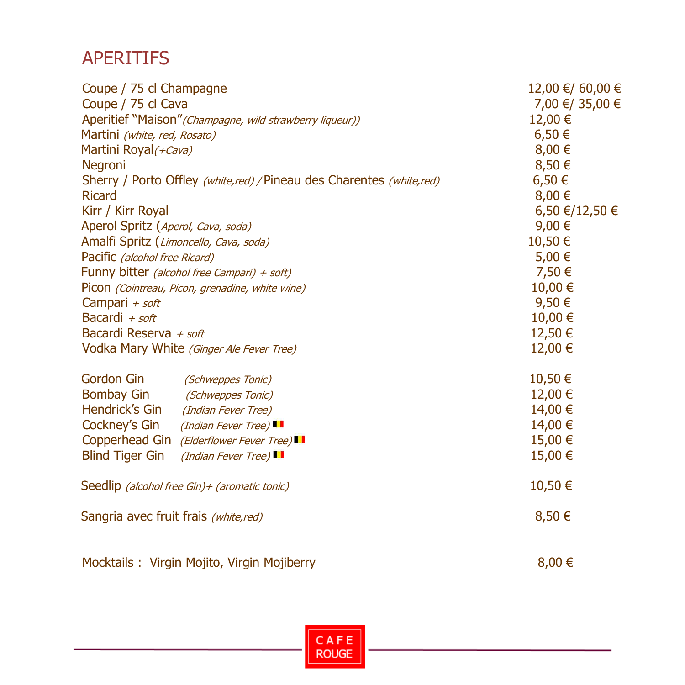## APERITIFS

| Coupe / 75 cl Champagne                                                | 12,00 €/ 60,00 € |
|------------------------------------------------------------------------|------------------|
| Coupe / 75 cl Cava                                                     | 7,00 €/ 35,00 €  |
| Aperitief "Maison" (Champagne, wild strawberry liqueur))               | 12,00 €          |
| Martini (white, red, Rosato)                                           | $6,50 \in$       |
| Martini Royal (+ Cava)                                                 | $8,00 \in$       |
| Negroni                                                                | 8,50 €           |
| Sherry / Porto Offley (white, red) / Pineau des Charentes (white, red) | 6,50€            |
| <b>Ricard</b>                                                          | 8,00 €           |
| Kirr / Kirr Royal                                                      | 6,50 €/12,50 €   |
| Aperol Spritz (Aperol, Cava, soda)                                     | 9,00 €           |
| Amalfi Spritz (Limoncello, Cava, soda)                                 | 10,50 €          |
| Pacific (alcohol free Ricard)                                          | 5,00 €           |
| Funny bitter (alcohol free Campari) + soft)                            | 7,50 €           |
| Picon (Cointreau, Picon, grenadine, white wine)                        | 10,00 €          |
| Campari $+$ soft                                                       | 9,50€            |
| Bacardi + soft                                                         | 10,00 €          |
| Bacardi Reserva + soft                                                 | 12,50 €          |
| Vodka Mary White (Ginger Ale Fever Tree)                               | 12,00 €          |
| Gordon Gin<br>(Schweppes Tonic)                                        | 10,50 €          |
| <b>Bombay Gin</b><br>(Schweppes Tonic)                                 | 12,00 €          |
| Hendrick's Gin<br>(Indian Fever Tree)                                  | 14,00 €          |
| Cockney's Gin<br>(Indian Fever Tree)                                   | 14,00 €          |
| Copperhead Gin (Elderflower Fever Tree)                                | 15,00 €          |
| <b>Blind Tiger Gin</b><br>(Indian Fever Tree)                          | 15,00 €          |
| Seedlip (alcohol free Gin) + (aromatic tonic)                          | 10,50 €          |
| Sangria avec fruit frais (white, red)                                  | 8,50 €           |
| Mocktails: Virgin Mojito, Virgin Mojiberry                             | 8,00 €           |

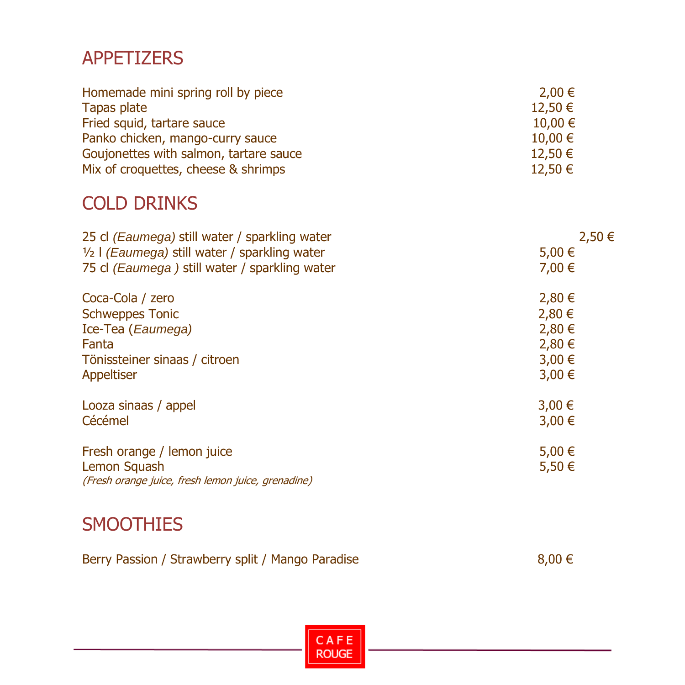# APPETIZERS

| Homemade mini spring roll by piece     | 2,00 €      |
|----------------------------------------|-------------|
| Tapas plate                            | 12,50 €     |
| Fried squid, tartare sauce             | $10,00 \in$ |
| Panko chicken, mango-curry sauce       | $10,00 \in$ |
| Goujonettes with salmon, tartare sauce | $12,50 \in$ |
| Mix of croquettes, cheese & shrimps    | $12,50 \in$ |

# COLD DRINKS

| 25 cl (Eaumega) still water / sparkling water                      | 2,50€      |
|--------------------------------------------------------------------|------------|
| $\frac{1}{2}$   (Eaumega) still water / sparkling water            | 5,00 €     |
| 75 cl (Eaumega) still water / sparkling water                      | 7,00 €     |
| Coca-Cola / zero                                                   | 2,80 €     |
| <b>Schweppes Tonic</b>                                             | 2,80 €     |
| Ice-Tea (Eaumega)                                                  | 2,80 €     |
| Fanta                                                              | 2,80 €     |
| Tönissteiner sinaas / citroen                                      | $3,00 \in$ |
| Appeltiser                                                         | $3,00 \in$ |
| Looza sinaas / appel                                               | $3,00 \in$ |
| Cécémel                                                            | $3,00 \in$ |
| Fresh orange / lemon juice                                         | 5,00 €     |
| Lemon Squash<br>(Fresh orange juice, fresh lemon juice, grenadine) | 5,50 €     |
|                                                                    |            |

# SMOOTHIES

| Berry Passion / Strawberry split / Mango Paradise | $8,00 \in$ |
|---------------------------------------------------|------------|
|---------------------------------------------------|------------|

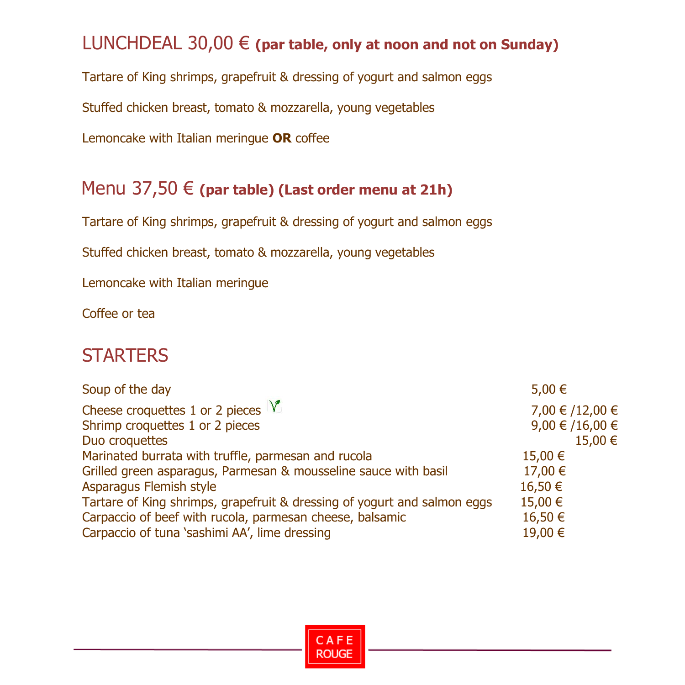# LUNCHDEAL 30,00 € **(par table, only at noon and not on Sunday)**

Tartare of King shrimps, grapefruit & dressing of yogurt and salmon eggs

Stuffed chicken breast, tomato & mozzarella, young vegetables

Lemoncake with Italian meringue **OR** coffee

#### Menu 37,50 € **(par table) (Last order menu at 21h)**

Tartare of King shrimps, grapefruit & dressing of yogurt and salmon eggs

Stuffed chicken breast, tomato & mozzarella, young vegetables

Lemoncake with Italian meringue

Coffee or tea

### **STARTERS**

| Soup of the day                                                          | 5,00 €          |
|--------------------------------------------------------------------------|-----------------|
| Cheese croquettes 1 or 2 pieces $\sqrt{\ }$                              | 7,00 € /12,00 € |
| Shrimp croquettes 1 or 2 pieces                                          | 9,00 € /16,00 € |
| Duo croquettes                                                           | 15,00 €         |
| Marinated burrata with truffle, parmesan and rucola                      | 15,00 €         |
| Grilled green asparagus, Parmesan & mousseline sauce with basil          | 17,00 €         |
| Asparagus Flemish style                                                  | 16,50 €         |
| Tartare of King shrimps, grapefruit & dressing of yogurt and salmon eggs | 15,00 €         |
| Carpaccio of beef with rucola, parmesan cheese, balsamic                 | 16,50 €         |
| Carpaccio of tuna 'sashimi AA', lime dressing                            | 19,00 €         |

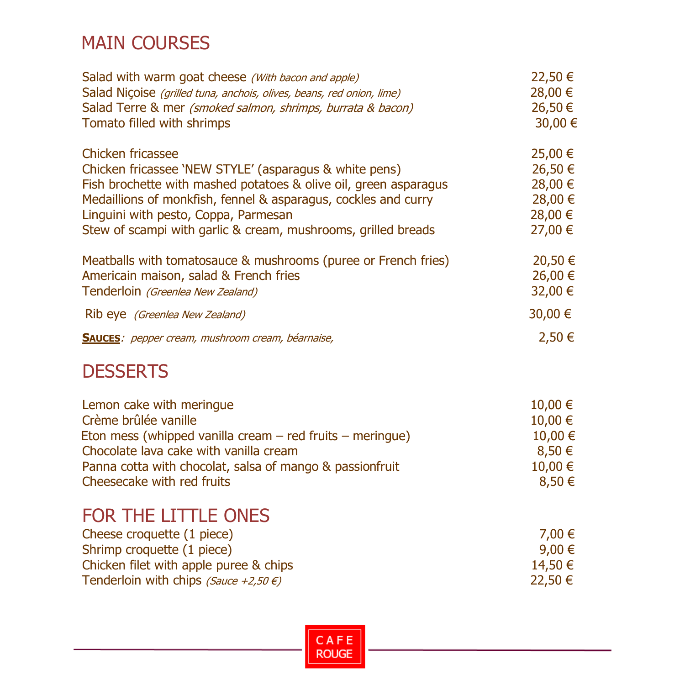# MAIN COURSES

| Salad with warm goat cheese (With bacon and apple)<br>Salad Nicoise (grilled tuna, anchois, olives, beans, red onion, lime)<br>Salad Terre & mer (smoked salmon, shrimps, burrata & bacon)<br>Tomato filled with shrimps                                                                                                   | 22,50 €<br>28,00 €<br>26,50€<br>30,00 €                          |
|----------------------------------------------------------------------------------------------------------------------------------------------------------------------------------------------------------------------------------------------------------------------------------------------------------------------------|------------------------------------------------------------------|
| Chicken fricassee<br>Chicken fricassee 'NEW STYLE' (asparagus & white pens)<br>Fish brochette with mashed potatoes & olive oil, green asparagus<br>Medaillions of monkfish, fennel & asparagus, cockles and curry<br>Linguini with pesto, Coppa, Parmesan<br>Stew of scampi with garlic & cream, mushrooms, grilled breads | 25,00 €<br>26,50 €<br>28,00 €<br>28,00 €<br>28,00 €<br>27,00 €   |
| Meatballs with tomatosauce & mushrooms (puree or French fries)<br>Americain maison, salad & French fries<br>Tenderloin (Greenlea New Zealand)                                                                                                                                                                              | 20,50 €<br>26,00 €<br>32,00 €                                    |
| Rib eye (Greenlea New Zealand)                                                                                                                                                                                                                                                                                             | 30,00 €                                                          |
| <b>SAUCES:</b> pepper cream, mushroom cream, béarnaise,                                                                                                                                                                                                                                                                    | 2,50€                                                            |
| <b>DESSERTS</b>                                                                                                                                                                                                                                                                                                            |                                                                  |
| Lemon cake with meringue<br>Crème brûlée vanille<br>Eton mess (whipped vanilla cream $-$ red fruits $-$ meringue)<br>Chocolate lava cake with vanilla cream<br>Panna cotta with chocolat, salsa of mango & passionfruit<br>Cheesecake with red fruits                                                                      | 10,00 €<br>10,00 €<br>10,00 €<br>$8,50 \in$<br>10,00 €<br>8,50 € |
| FOR THE LITTLE ONES<br>Cheese croquette (1 piece)<br>Shrimp croquette (1 piece)<br>Chicken filet with apple puree & chips<br>Tenderloin with chips (Sauce +2,50 $\epsilon$ )                                                                                                                                               | 7,00 €<br>9,00 €<br>14,50 €<br>22,50 €                           |

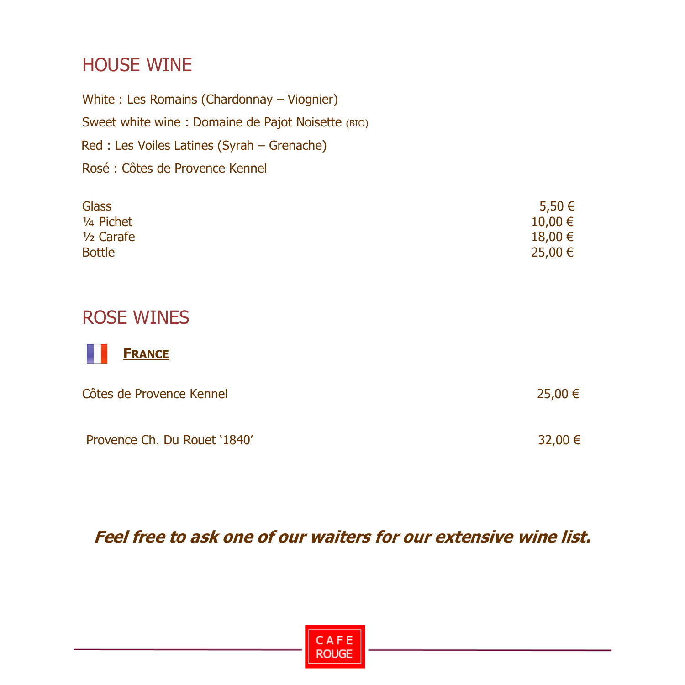### HOUSE WINE

White : Les Romains (Chardonnay – Viognier) Sweet white wine : Domaine de Pajot Noisette (BIO) Red : Les Voiles Latines (Syrah – Grenache) Rosé : Côtes de Provence Kennel

| <b>Glass</b>  | 5,50 €      |
|---------------|-------------|
| 1/4 Pichet    | $10,00 \in$ |
| $1/2$ Carafe  | 18,00 €     |
| <b>Bottle</b> | 25,00 €     |

#### ROSE WINES



| Côtes de Provence Kennel     | 25,00 € |
|------------------------------|---------|
| Provence Ch. Du Rouet '1840' | 32,00 € |

**Feel free to ask one of our waiters for our extensive wine list.**

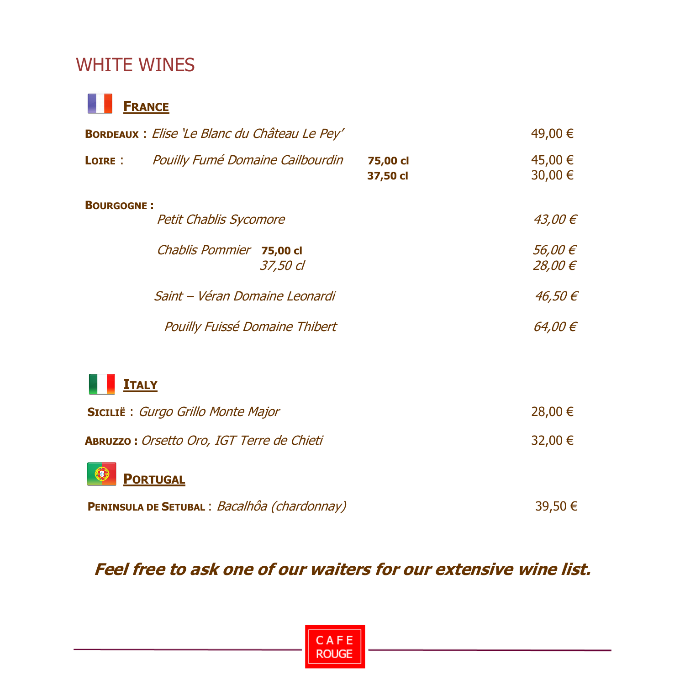# WHITE WINES



| <b>BORDEAUX</b> : Elise 'Le Blanc du Château Le Pey' |                                                  |          |                      | 49,00 € |                    |
|------------------------------------------------------|--------------------------------------------------|----------|----------------------|---------|--------------------|
| LOIRE :                                              | <b>Pouilly Fumé Domaine Cailbourdin</b>          |          | 75,00 cl<br>37,50 cl |         | 45,00 €<br>30,00 € |
| <b>BOURGOGNE:</b>                                    | <b>Petit Chablis Sycomore</b>                    |          |                      |         | 43,00 €            |
|                                                      | Chablis Pommier 75,00 cl                         | 37,50 cl |                      |         | 56,00 €<br>28,00 € |
|                                                      | Saint - Véran Domaine Leonardi                   |          |                      |         | 46,50€             |
|                                                      | <b>Pouilly Fuissé Domaine Thibert</b>            |          |                      |         | 64,00€             |
| <b>ITALY</b>                                         |                                                  |          |                      |         |                    |
| <b>SICILIË:</b> Gurgo Grillo Monte Major             |                                                  |          |                      | 28,00 € |                    |
|                                                      | <b>ABRUZZO: Orsetto Oro, IGT Terre de Chieti</b> |          |                      |         | 32,00 €            |
|                                                      | <b>PORTUGAL</b>                                  |          |                      |         |                    |

| <b>PENINSULA DE SETUBAL : Bacalhôa (chardonnay)</b> |  | 39,50 € |
|-----------------------------------------------------|--|---------|
|-----------------------------------------------------|--|---------|

**Feel free to ask one of our waiters for our extensive wine list.**

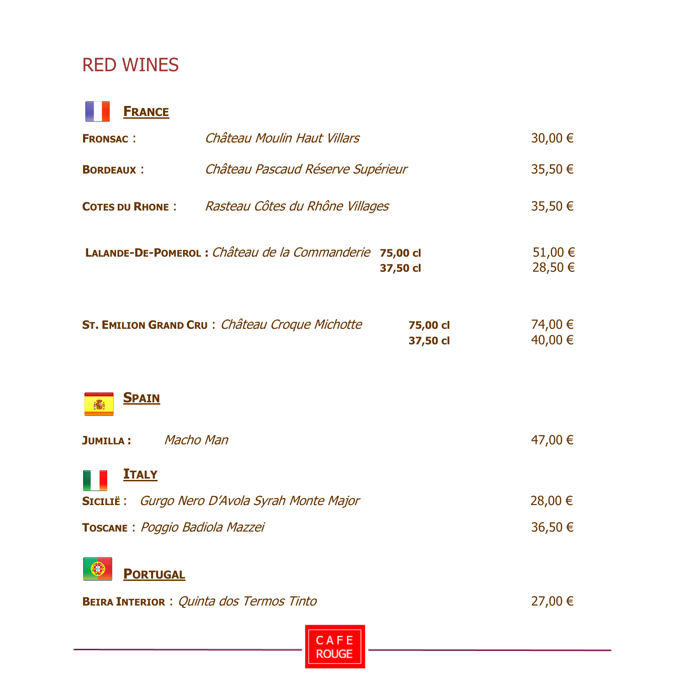# RED WINES



| <b>FRONSAC:</b>                                       | Château Moulin Haut Villars                             |                      |                    |
|-------------------------------------------------------|---------------------------------------------------------|----------------------|--------------------|
| Château Pascaud Réserve Supérieur<br><b>BORDEAUX:</b> |                                                         |                      | 35,50 €            |
| <b>COTES DU RHONE:</b>                                | Rasteau Côtes du Rhône Villages                         |                      | 35,50 €            |
|                                                       | LALANDE-DE-POMEROL : Château de la Commanderie 75,00 cl | 37,50 cl             | 51,00 €<br>28,50 € |
|                                                       | <b>ST. EMILION GRAND CRU: Château Croque Michotte</b>   | 75,00 cl<br>37,50 cl | 74,00 €<br>40,00 € |
| <b>SPAIN</b>                                          |                                                         |                      |                    |
| Macho Man<br><b>JUMILLA:</b>                          |                                                         |                      | 47,00 €            |
| <u>ITALY</u>                                          |                                                         |                      |                    |
|                                                       | SICILIË: Gurgo Nero D'Avola Syrah Monte Major           |                      | 28,00 €            |
| TOSCANE: Poggio Badiola Mazzei                        |                                                         |                      | 36,50 €            |
|                                                       |                                                         |                      |                    |



**BEIRA INTERIOR** : Quinta dos Termos Tinto 27,00 €

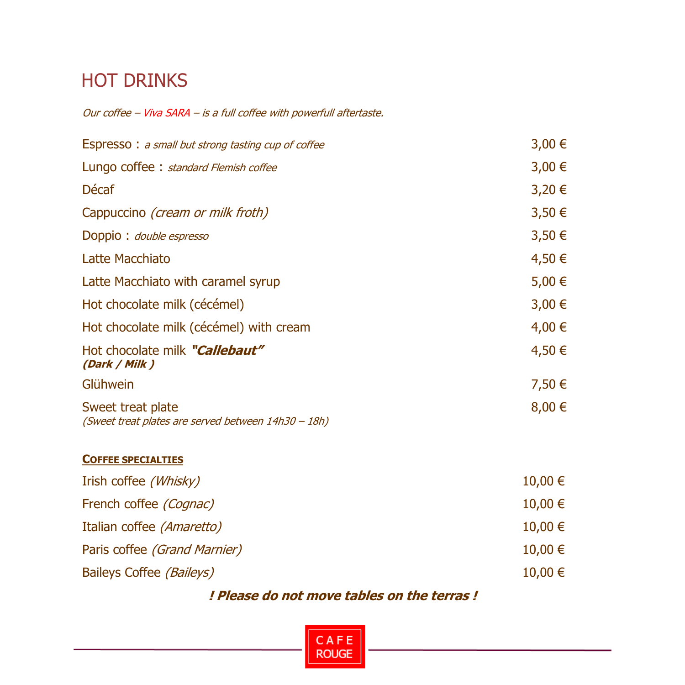# HOT DRINKS

Our coffee – Viva SARA – is a full coffee with powerfull aftertaste.

| <b>Espresso:</b> a small but strong tasting cup of coffee                | $3,00 \in$ |
|--------------------------------------------------------------------------|------------|
| Lungo coffee : standard Flemish coffee                                   | $3,00 \in$ |
| Décaf                                                                    | 3,20€      |
| Cappuccino <i>(cream or milk froth)</i>                                  | 3,50€      |
| Doppio: double espresso                                                  | 3,50€      |
| Latte Macchiato                                                          | 4,50 €     |
| Latte Macchiato with caramel syrup                                       | 5,00 €     |
| Hot chocolate milk (cécémel)                                             | 3,00€      |
| Hot chocolate milk (cécémel) with cream                                  | 4,00 €     |
| Hot chocolate milk "Callebaut"<br>(Dark / Milk)                          | 4,50 €     |
| Glühwein                                                                 | 7,50 €     |
| Sweet treat plate<br>(Sweet treat plates are served between 14h30 - 18h) | $8,00 \in$ |
| <b>COFFEE SPECIALTIES</b>                                                |            |
| Irish coffee (Whisky)                                                    | 10,00 €    |
| French coffee (Cognac)                                                   | 10,00 €    |
| Italian coffee (Amaretto)                                                | 10,00 €    |

Paris coffee (Grand Marnier) 10,00  $\epsilon$ Baileys Coffee (Baileys) 10,00 €

#### **! Please do not move tables on the terras !**

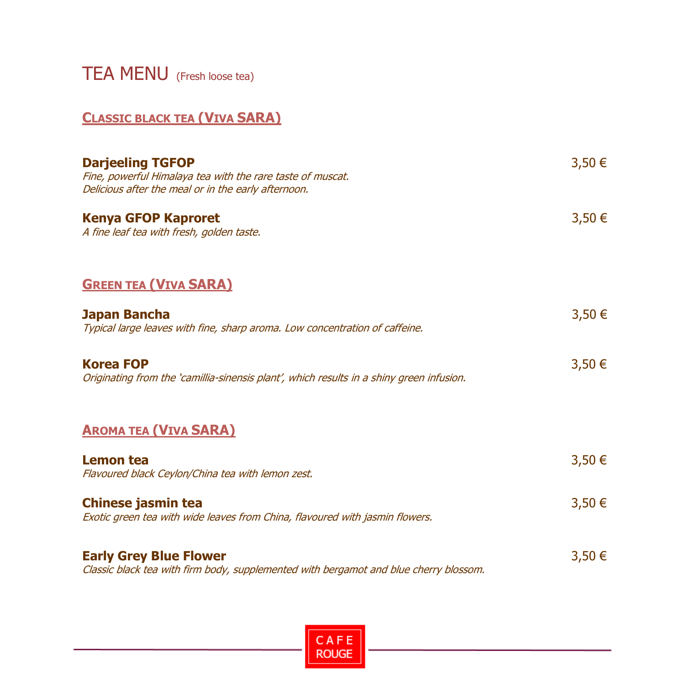TEA MENU(Fresh loose tea)

#### **CLASSIC BLACK TEA (VIVA SARA)**

| <b>Darjeeling TGFOP</b><br>Fine, powerful Himalaya tea with the rare taste of muscat.<br>Delicious after the meal or in the early afternoon. | 3,50€  |
|----------------------------------------------------------------------------------------------------------------------------------------------|--------|
| <b>Kenya GFOP Kaproret</b><br>A fine leaf tea with fresh, golden taste.                                                                      | 3,50 € |
| <b>GREEN TEA (VIVA SARA)</b>                                                                                                                 |        |
| Japan Bancha<br>Typical large leaves with fine, sharp aroma. Low concentration of caffeine.                                                  | 3,50 € |
| <b>Korea FOP</b><br>Originating from the 'camillia-sinensis plant', which results in a shiny green infusion.                                 | 3,50€  |
| <b>AROMA TEA (VIVA SARA)</b>                                                                                                                 |        |
| Lemon tea<br>Flavoured black Ceylon/China tea with lemon zest.                                                                               | 3,50€  |
| <b>Chinese jasmin tea</b><br>Exotic green tea with wide leaves from China, flavoured with jasmin flowers.                                    | 3,50€  |
| <b>Early Grey Blue Flower</b><br>Classic black tea with firm body, supplemented with bergamot and blue cherry blossom.                       | 3,50€  |

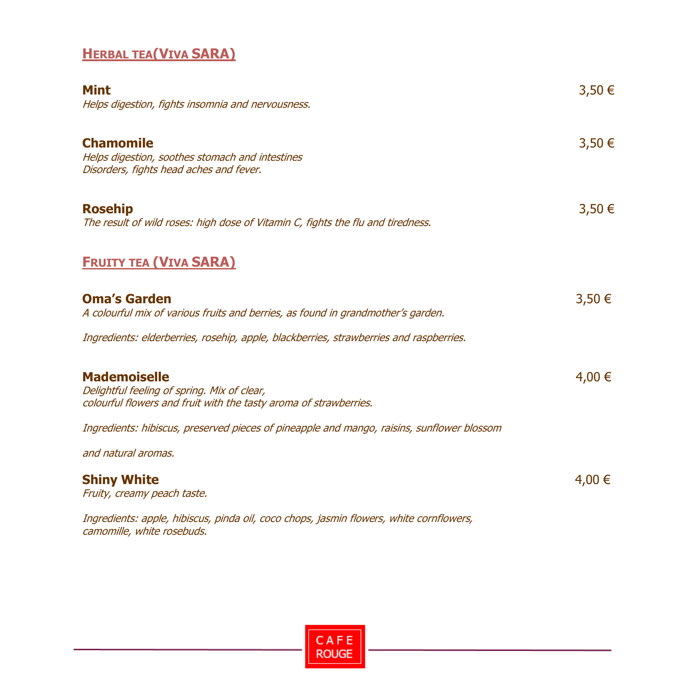#### **HERBAL TEA(VIVA SARA)**

| <b>Mint</b><br>Helps digestion, fights insomnia and nervousness.                                                                        | 3,50 €     |
|-----------------------------------------------------------------------------------------------------------------------------------------|------------|
| <b>Chamomile</b><br>Helps digestion, soothes stomach and intestines<br>Disorders, fights head aches and fever.                          | 3,50 €     |
| <b>Rosehip</b><br>The result of wild roses: high dose of Vitamin C, fights the flu and tiredness.                                       | $3,50 \in$ |
| <b>FRUITY TEA (VIVA SARA)</b>                                                                                                           |            |
| <b>Oma's Garden</b><br>A colourful mix of various fruits and berries, as found in grandmother's garden.                                 | 3,50€      |
| Ingredients: elderberries, rosehip, apple, blackberries, strawberries and raspberries.                                                  |            |
| <b>Mademoiselle</b><br>Delightful feeling of spring. Mix of clear,<br>colourful flowers and fruit with the tasty aroma of strawberries. | 4,00 €     |
| Ingredients: hibiscus, preserved pieces of pineapple and mango, raisins, sunflower blossom                                              |            |
| and natural aromas.                                                                                                                     |            |
| <b>Shiny White</b><br>Fruity, creamy peach taste.                                                                                       | 4,00 €     |
| Ingredients: apple, hibiscus, pinda oil, coco chops, jasmin flowers, white cornflowers,<br>camomille, white rosebuds.                   |            |

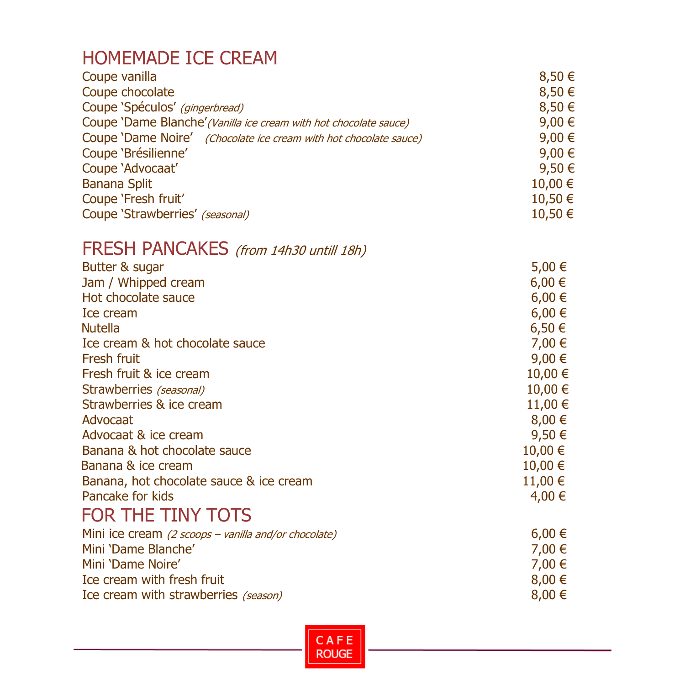#### HOMEMADE ICE CREAM

| 8,50 €  |
|---------|
| 8,50€   |
| 8,50€   |
| 9,00 €  |
| 9,00 €  |
| 9,00 €  |
| 9,50 €  |
| 10,00 € |
| 10,50 € |
| 10,50 € |
|         |

# FRESH PANCAKES (from 14h30 untill 18h)

| Butter & sugar                                       | 5,00 €      |
|------------------------------------------------------|-------------|
| Jam / Whipped cream                                  | $6,00 \in$  |
| Hot chocolate sauce                                  | $6,00 \in$  |
| Ice cream                                            | $6,00 \in$  |
| <b>Nutella</b>                                       | $6,50 \in$  |
| Ice cream & hot chocolate sauce                      | 7,00 €      |
| Fresh fruit                                          | 9,00 €      |
| Fresh fruit & ice cream                              | 10,00 €     |
| Strawberries (seasonal)                              | 10,00 €     |
| Strawberries & ice cream                             | 11,00 €     |
| Advocaat                                             | 8,00€       |
| Advocaat & ice cream                                 | 9,50 €      |
| Banana & hot chocolate sauce                         | $10,00 \in$ |
| Banana & ice cream                                   | 10,00 €     |
| Banana, hot chocolate sauce & ice cream              | $11,00 \in$ |
| Pancake for kids                                     | 4,00 €      |
| FOR THE TINY TOTS                                    |             |
| Mini ice cream (2 scoops – vanilla and/or chocolate) | $6,00 \in$  |
| Mini 'Dame Blanche'                                  | 7,00 €      |
| Mini 'Dame Noire'                                    | 7,00 €      |
| Ice cream with fresh fruit                           | $8,00 \in$  |
| Ice cream with strawberries (season)                 | 8,00 €      |
|                                                      |             |

CAFE **ROUGE**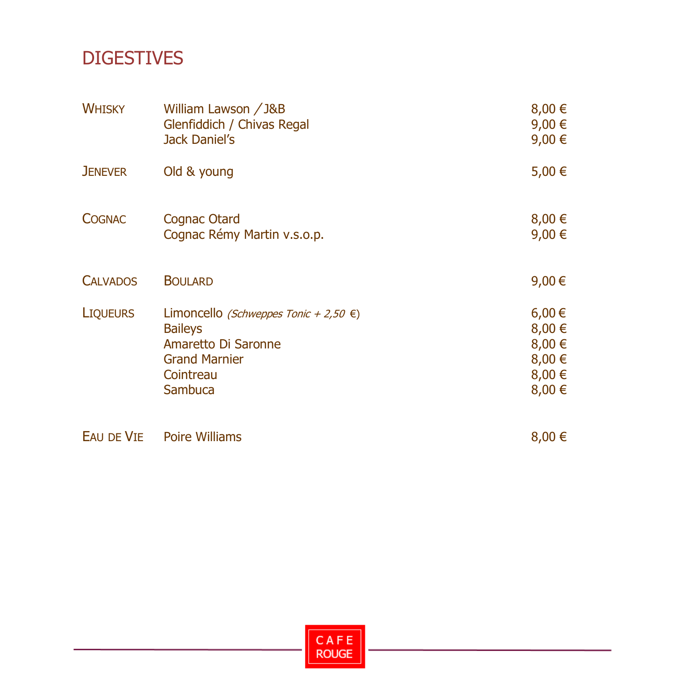# DIGESTIVES

| <b>WHISKY</b>   | William Lawson / J&B<br>Glenfiddich / Chivas Regal<br><b>Jack Daniel's</b>                                                            | $8,00 \in$<br>9,00 €<br>9,00 €                               |
|-----------------|---------------------------------------------------------------------------------------------------------------------------------------|--------------------------------------------------------------|
| <b>JENEVER</b>  | Old & young                                                                                                                           | 5,00 €                                                       |
| <b>COGNAC</b>   | Cognac Otard<br>Cognac Rémy Martin v.s.o.p.                                                                                           | $8,00 \in$<br>9,00 €                                         |
| <b>CALVADOS</b> | <b>BOULARD</b>                                                                                                                        | 9,00€                                                        |
| <b>LIQUEURS</b> | Limoncello (Schweppes Tonic + 2,50 €)<br><b>Baileys</b><br>Amaretto Di Saronne<br><b>Grand Marnier</b><br>Cointreau<br><b>Sambuca</b> | $6,00 \in$<br>8,00 €<br>8,00 €<br>8,00 €<br>8,00 €<br>8,00 € |
| EAU DE VIE      | <b>Poire Williams</b>                                                                                                                 | $8,00 \in$                                                   |